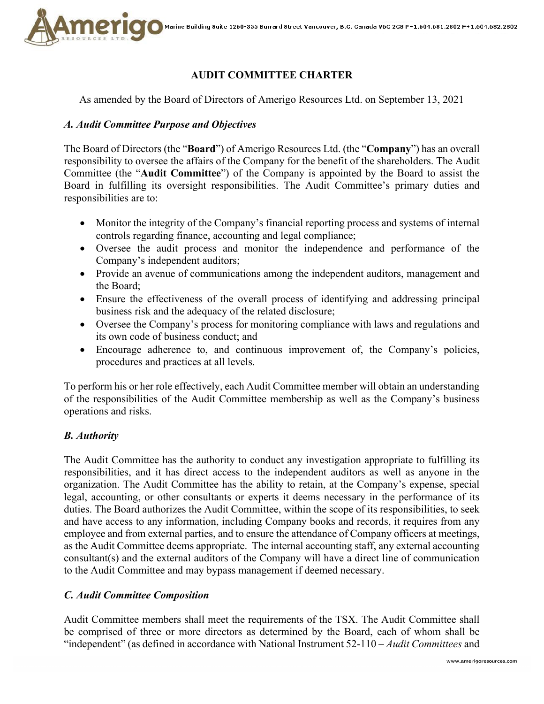

# **AUDIT COMMITTEE CHARTER**

As amended by the Board of Directors of Amerigo Resources Ltd. on September 13, 2021

## *A. Audit Committee Purpose and Objectives*

The Board of Directors (the "**Board**") of Amerigo Resources Ltd. (the "**Company**") has an overall responsibility to oversee the affairs of the Company for the benefit of the shareholders. The Audit Committee (the "**Audit Committee**") of the Company is appointed by the Board to assist the Board in fulfilling its oversight responsibilities. The Audit Committee's primary duties and responsibilities are to:

- Monitor the integrity of the Company's financial reporting process and systems of internal controls regarding finance, accounting and legal compliance;
- Oversee the audit process and monitor the independence and performance of the Company's independent auditors;
- Provide an avenue of communications among the independent auditors, management and the Board;
- Ensure the effectiveness of the overall process of identifying and addressing principal business risk and the adequacy of the related disclosure;
- Oversee the Company's process for monitoring compliance with laws and regulations and its own code of business conduct; and
- Encourage adherence to, and continuous improvement of, the Company's policies, procedures and practices at all levels.

To perform his or her role effectively, each Audit Committee member will obtain an understanding of the responsibilities of the Audit Committee membership as well as the Company's business operations and risks.

## *B. Authority*

The Audit Committee has the authority to conduct any investigation appropriate to fulfilling its responsibilities, and it has direct access to the independent auditors as well as anyone in the organization. The Audit Committee has the ability to retain, at the Company's expense, special legal, accounting, or other consultants or experts it deems necessary in the performance of its duties. The Board authorizes the Audit Committee, within the scope of its responsibilities, to seek and have access to any information, including Company books and records, it requires from any employee and from external parties, and to ensure the attendance of Company officers at meetings, as the Audit Committee deems appropriate. The internal accounting staff, any external accounting consultant(s) and the external auditors of the Company will have a direct line of communication to the Audit Committee and may bypass management if deemed necessary.

### *C. Audit Committee Composition*

Audit Committee members shall meet the requirements of the TSX. The Audit Committee shall be comprised of three or more directors as determined by the Board, each of whom shall be "independent" (as defined in accordance with National Instrument 52-110 *– Audit Committees* and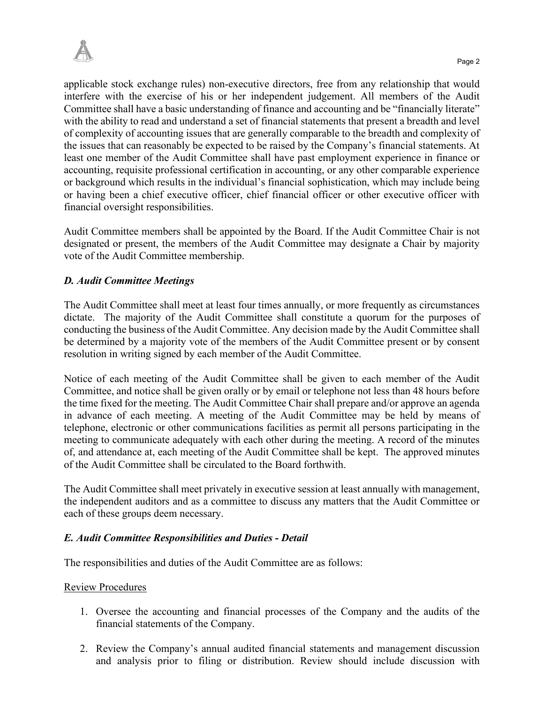applicable stock exchange rules) non-executive directors, free from any relationship that would interfere with the exercise of his or her independent judgement. All members of the Audit Committee shall have a basic understanding of finance and accounting and be "financially literate" with the ability to read and understand a set of financial statements that present a breadth and level of complexity of accounting issues that are generally comparable to the breadth and complexity of the issues that can reasonably be expected to be raised by the Company's financial statements. At least one member of the Audit Committee shall have past employment experience in finance or accounting, requisite professional certification in accounting, or any other comparable experience or background which results in the individual's financial sophistication, which may include being or having been a chief executive officer, chief financial officer or other executive officer with financial oversight responsibilities.

Audit Committee members shall be appointed by the Board. If the Audit Committee Chair is not designated or present, the members of the Audit Committee may designate a Chair by majority vote of the Audit Committee membership.

# *D. Audit Committee Meetings*

The Audit Committee shall meet at least four times annually, or more frequently as circumstances dictate. The majority of the Audit Committee shall constitute a quorum for the purposes of conducting the business of the Audit Committee. Any decision made by the Audit Committee shall be determined by a majority vote of the members of the Audit Committee present or by consent resolution in writing signed by each member of the Audit Committee.

Notice of each meeting of the Audit Committee shall be given to each member of the Audit Committee, and notice shall be given orally or by email or telephone not less than 48 hours before the time fixed for the meeting. The Audit Committee Chair shall prepare and/or approve an agenda in advance of each meeting. A meeting of the Audit Committee may be held by means of telephone, electronic or other communications facilities as permit all persons participating in the meeting to communicate adequately with each other during the meeting. A record of the minutes of, and attendance at, each meeting of the Audit Committee shall be kept. The approved minutes of the Audit Committee shall be circulated to the Board forthwith.

The Audit Committee shall meet privately in executive session at least annually with management, the independent auditors and as a committee to discuss any matters that the Audit Committee or each of these groups deem necessary.

## *E. Audit Committee Responsibilities and Duties - Detail*

The responsibilities and duties of the Audit Committee are as follows:

### Review Procedures

- 1. Oversee the accounting and financial processes of the Company and the audits of the financial statements of the Company.
- 2. Review the Company's annual audited financial statements and management discussion and analysis prior to filing or distribution. Review should include discussion with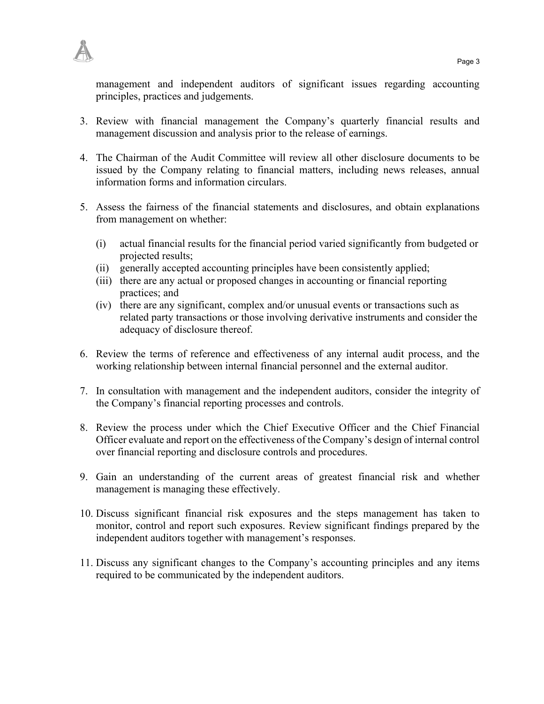

management and independent auditors of significant issues regarding accounting principles, practices and judgements.

- 3. Review with financial management the Company's quarterly financial results and management discussion and analysis prior to the release of earnings.
- 4. The Chairman of the Audit Committee will review all other disclosure documents to be issued by the Company relating to financial matters, including news releases, annual information forms and information circulars.
- 5. Assess the fairness of the financial statements and disclosures, and obtain explanations from management on whether:
	- (i) actual financial results for the financial period varied significantly from budgeted or projected results;
	- (ii) generally accepted accounting principles have been consistently applied;
	- (iii) there are any actual or proposed changes in accounting or financial reporting practices; and
	- (iv) there are any significant, complex and/or unusual events or transactions such as related party transactions or those involving derivative instruments and consider the adequacy of disclosure thereof.
- 6. Review the terms of reference and effectiveness of any internal audit process, and the working relationship between internal financial personnel and the external auditor.
- 7. In consultation with management and the independent auditors, consider the integrity of the Company's financial reporting processes and controls.
- 8. Review the process under which the Chief Executive Officer and the Chief Financial Officer evaluate and report on the effectiveness of the Company's design of internal control over financial reporting and disclosure controls and procedures.
- 9. Gain an understanding of the current areas of greatest financial risk and whether management is managing these effectively.
- 10. Discuss significant financial risk exposures and the steps management has taken to monitor, control and report such exposures. Review significant findings prepared by the independent auditors together with management's responses.
- 11. Discuss any significant changes to the Company's accounting principles and any items required to be communicated by the independent auditors.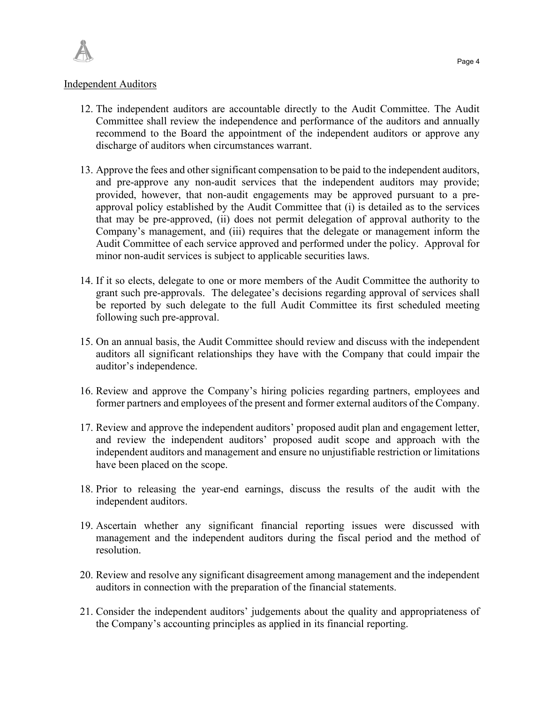

#### Independent Auditors

- 12. The independent auditors are accountable directly to the Audit Committee. The Audit Committee shall review the independence and performance of the auditors and annually recommend to the Board the appointment of the independent auditors or approve any discharge of auditors when circumstances warrant.
- 13. Approve the fees and other significant compensation to be paid to the independent auditors, and pre-approve any non-audit services that the independent auditors may provide; provided, however, that non-audit engagements may be approved pursuant to a preapproval policy established by the Audit Committee that (i) is detailed as to the services that may be pre-approved, (ii) does not permit delegation of approval authority to the Company's management, and (iii) requires that the delegate or management inform the Audit Committee of each service approved and performed under the policy. Approval for minor non-audit services is subject to applicable securities laws.
- 14. If it so elects, delegate to one or more members of the Audit Committee the authority to grant such pre-approvals. The delegatee's decisions regarding approval of services shall be reported by such delegate to the full Audit Committee its first scheduled meeting following such pre-approval.
- 15. On an annual basis, the Audit Committee should review and discuss with the independent auditors all significant relationships they have with the Company that could impair the auditor's independence.
- 16. Review and approve the Company's hiring policies regarding partners, employees and former partners and employees of the present and former external auditors of the Company.
- 17. Review and approve the independent auditors' proposed audit plan and engagement letter, and review the independent auditors' proposed audit scope and approach with the independent auditors and management and ensure no unjustifiable restriction or limitations have been placed on the scope.
- 18. Prior to releasing the year-end earnings, discuss the results of the audit with the independent auditors.
- 19. Ascertain whether any significant financial reporting issues were discussed with management and the independent auditors during the fiscal period and the method of resolution.
- 20. Review and resolve any significant disagreement among management and the independent auditors in connection with the preparation of the financial statements.
- 21. Consider the independent auditors' judgements about the quality and appropriateness of the Company's accounting principles as applied in its financial reporting.